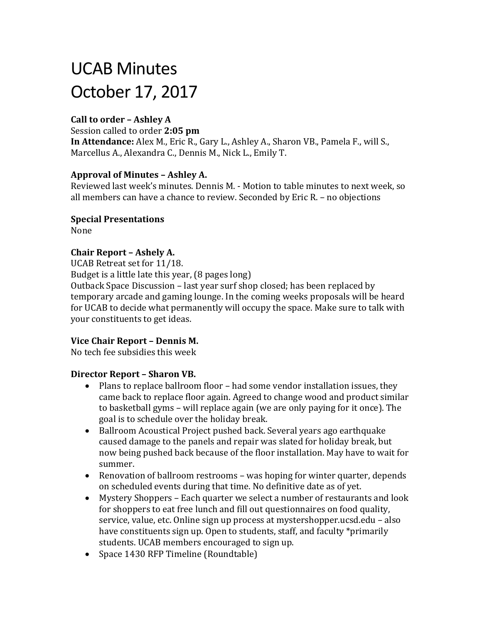# UCAB Minutes October 17, 2017

# **Call to order – Ashley A**

Session called to order **2:05 pm**

**In Attendance:** Alex M., Eric R., Gary L., Ashley A., Sharon VB., Pamela F., will S., Marcellus A., Alexandra C., Dennis M., Nick L., Emily T.

## **Approval of Minutes – Ashley A.**

Reviewed last week's minutes. Dennis M. - Motion to table minutes to next week, so all members can have a chance to review. Seconded by Eric R. – no objections

#### **Special Presentations**

None

## **Chair Report – Ashely A.**

UCAB Retreat set for 11/18.

Budget is a little late this year, (8 pages long)

Outback Space Discussion – last year surf shop closed; has been replaced by temporary arcade and gaming lounge. In the coming weeks proposals will be heard for UCAB to decide what permanently will occupy the space. Make sure to talk with your constituents to get ideas.

## **Vice Chair Report – Dennis M.**

No tech fee subsidies this week

## **Director Report – Sharon VB.**

- Plans to replace ballroom floor had some vendor installation issues, they came back to replace floor again. Agreed to change wood and product similar to basketball gyms – will replace again (we are only paying for it once). The goal is to schedule over the holiday break.
- Ballroom Acoustical Project pushed back. Several years ago earthquake caused damage to the panels and repair was slated for holiday break, but now being pushed back because of the floor installation. May have to wait for summer.
- Renovation of ballroom restrooms was hoping for winter quarter, depends on scheduled events during that time. No definitive date as of yet.
- Mystery Shoppers Each quarter we select a number of restaurants and look for shoppers to eat free lunch and fill out questionnaires on food quality, service, value, etc. Online sign up process at mystershopper.ucsd.edu – also have constituents sign up. Open to students, staff, and faculty \*primarily students. UCAB members encouraged to sign up.
- Space 1430 RFP Timeline (Roundtable)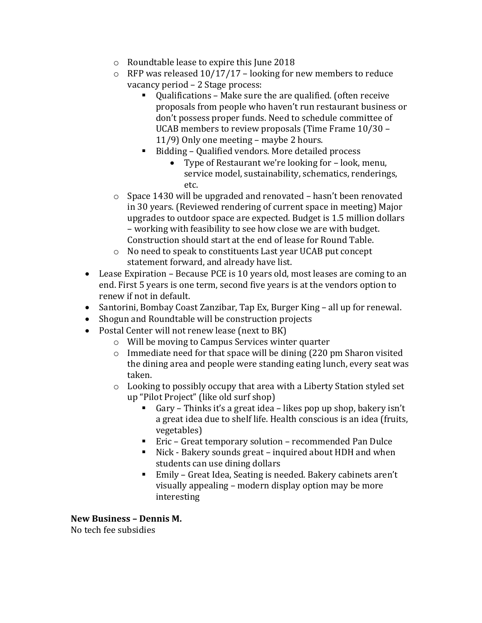- o Roundtable lease to expire this June 2018
- $\circ$  RFP was released 10/17/17 looking for new members to reduce vacancy period – 2 Stage process:
	- Oualifications Make sure the are qualified. (often receive proposals from people who haven't run restaurant business or don't possess proper funds. Need to schedule committee of UCAB members to review proposals (Time Frame 10/30 – 11/9) Only one meeting – maybe 2 hours.
	- Bidding Qualified vendors. More detailed process
		- Type of Restaurant we're looking for look, menu, service model, sustainability, schematics, renderings, etc.
- o Space 1430 will be upgraded and renovated hasn't been renovated in 30 years. (Reviewed rendering of current space in meeting) Major upgrades to outdoor space are expected. Budget is 1.5 million dollars – working with feasibility to see how close we are with budget. Construction should start at the end of lease for Round Table.
- o No need to speak to constituents Last year UCAB put concept statement forward, and already have list.
- Lease Expiration Because PCE is 10 years old, most leases are coming to an end. First 5 years is one term, second five years is at the vendors option to renew if not in default.
- Santorini, Bombay Coast Zanzibar, Tap Ex, Burger King all up for renewal.
- Shogun and Roundtable will be construction projects
- Postal Center will not renew lease (next to BK)
	- o Will be moving to Campus Services winter quarter
	- $\circ$  Immediate need for that space will be dining (220 pm Sharon visited the dining area and people were standing eating lunch, every seat was taken.
	- o Looking to possibly occupy that area with a Liberty Station styled set up "Pilot Project" (like old surf shop)
		- Gary Thinks it's a great idea likes pop up shop, bakery isn't a great idea due to shelf life. Health conscious is an idea (fruits, vegetables)
		- Eric Great temporary solution recommended Pan Dulce
		- Nick Bakery sounds great inquired about HDH and when students can use dining dollars
		- Emily Great Idea, Seating is needed. Bakery cabinets aren't visually appealing – modern display option may be more interesting

**New Business – Dennis M.** No tech fee subsidies